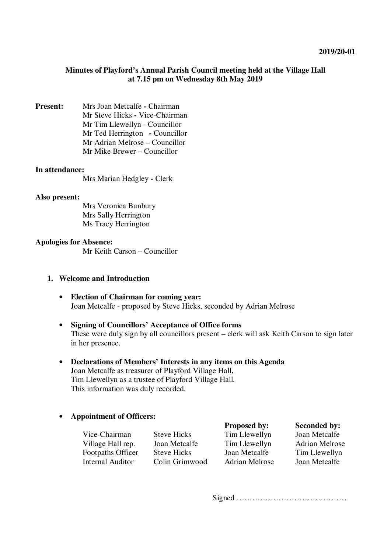## **Minutes of Playford's Annual Parish Council meeting held at the Village Hall at 7.15 pm on Wednesday 8th May 2019**

**Present:** Mrs Joan Metcalfe **-** Chairman Mr Steve Hicks **-** Vice-Chairman Mr Tim Llewellyn - Councillor Mr Ted Herrington **-** Councillor Mr Adrian Melrose – Councillor Mr Mike Brewer – Councillor

#### **In attendance:**

Mrs Marian Hedgley **-** Clerk

#### **Also present:**

 Mrs Veronica Bunbury Mrs Sally Herrington Ms Tracy Herrington

## **Apologies for Absence:**

Mr Keith Carson – Councillor

## **1. Welcome and Introduction**

- **Election of Chairman for coming year:**  Joan Metcalfe - proposed by Steve Hicks, seconded by Adrian Melrose
- **Signing of Councillors' Acceptance of Office forms**  These were duly sign by all councillors present – clerk will ask Keith Carson to sign later in her presence.
- **Declarations of Members' Interests in any items on this Agenda**  Joan Metcalfe as treasurer of Playford Village Hall, Tim Llewellyn as a trustee of Playford Village Hall. This information was duly recorded.

## • **Appointment of Officers:**

| . .                      |                    |                       |                       |
|--------------------------|--------------------|-----------------------|-----------------------|
|                          |                    | <b>Proposed by:</b>   | <b>Seconded by:</b>   |
| Vice-Chairman            | <b>Steve Hicks</b> | Tim Llewellyn         | Joan Metcalfe         |
| Village Hall rep.        | Joan Metcalfe      | Tim Llewellyn         | <b>Adrian Melrose</b> |
| <b>Footpaths Officer</b> | <b>Steve Hicks</b> | Joan Metcalfe         | Tim Llewellyn         |
| <b>Internal Auditor</b>  | Colin Grimwood     | <b>Adrian Melrose</b> | Joan Metcalfe         |
|                          |                    |                       |                       |

Signed ……………………………………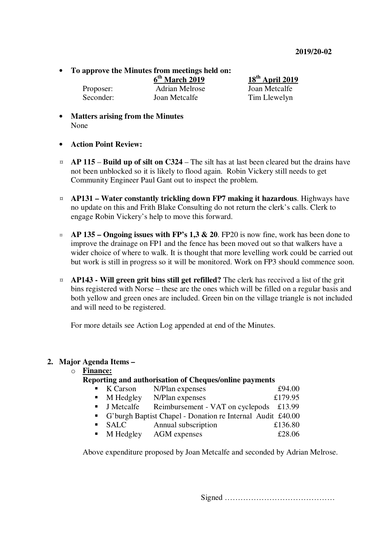• **To approve the Minutes from meetings held on:** 

Proposer: Adrian Melrose Joan Metcalfe Seconder: Joan Metcalfe Tim Llewelyn

**6 th March 2019 18th April 2019**

- **Matters arising from the Minutes** None
- **Action Point Review:**
- ¤ **AP 115 Build up of silt on C324** The silt has at last been cleared but the drains have not been unblocked so it is likely to flood again. Robin Vickery still needs to get Community Engineer Paul Gant out to inspect the problem.
- ¤ **AP131 – Water constantly trickling down FP7 making it hazardous**. Highways have no update on this and Frith Blake Consulting do not return the clerk's calls. Clerk to engage Robin Vickery's help to move this forward.
- ¤ **AP 135 Ongoing issues with FP's 1,3 & 20**. FP20 is now fine, work has been done to improve the drainage on FP1 and the fence has been moved out so that walkers have a wider choice of where to walk. It is thought that more levelling work could be carried out but work is still in progress so it will be monitored. Work on FP3 should commence soon.
- ¤ **AP143 Will green grit bins still get refilled?** The clerk has received a list of the grit bins registered with Norse – these are the ones which will be filled on a regular basis and both yellow and green ones are included. Green bin on the village triangle is not included and will need to be registered.

For more details see Action Log appended at end of the Minutes.

## **2. Major Agenda Items –**

o **Finance:**

# **Reporting and authorisation of Cheques/online payments**

| . . | K Carson  | N/Plan expenses | £94.00  |
|-----|-----------|-----------------|---------|
|     | M Hedgley | N/Plan expenses | £179.95 |

- **J** Metcalfe Reimbursement VAT on cyclepods £13.99
- G'burgh Baptist Chapel Donation re Internal Audit £40.00
- SALC Annual subscription £136.80
- **M Hedgley AGM expenses 628.06**

Above expenditure proposed by Joan Metcalfe and seconded by Adrian Melrose.

Signed ……………………………………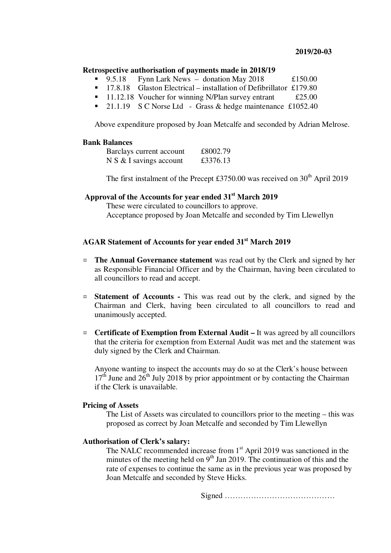#### **2019/20-03**

#### **Retrospective authorisation of payments made in 2018/19**

- 9.5.18 Fynn Lark News donation May 2018 £150.00
- <sup>17.8.18</sup> Glaston Electrical installation of Defibrillator £179.80
- $\blacksquare$  11.12.18 Voucher for winning N/Plan survey entrant £25.00
- <sup>21.1.19</sup> S C Norse Ltd Grass & hedge maintenance £1052.40

Above expenditure proposed by Joan Metcalfe and seconded by Adrian Melrose.

## **Bank Balances**

| Barclays current account  | £8002.79 |
|---------------------------|----------|
| $N S & I$ savings account | £3376.13 |

The first instalment of the Precept £3750.00 was received on  $30<sup>th</sup>$  April 2019

# **Approval of the Accounts for year ended 31st March 2019**

These were circulated to councillors to approve. Acceptance proposed by Joan Metcalfe and seconded by Tim Llewellyn

# **AGAR Statement of Accounts for year ended 31st March 2019**

- ¤ **The Annual Governance statement** was read out by the Clerk and signed by her as Responsible Financial Officer and by the Chairman, having been circulated to all councillors to read and accept.
- ¤ **Statement of Accounts** This was read out by the clerk, and signed by the Chairman and Clerk, having been circulated to all councillors to read and unanimously accepted.
- ¤ **Certificate of Exemption from External Audit** It was agreed by all councillors that the criteria for exemption from External Audit was met and the statement was duly signed by the Clerk and Chairman.

Anyone wanting to inspect the accounts may do so at the Clerk's house between  $17<sup>th</sup>$  June and  $26<sup>th</sup>$  July 2018 by prior appointment or by contacting the Chairman if the Clerk is unavailable.

#### **Pricing of Assets**

The List of Assets was circulated to councillors prior to the meeting – this was proposed as correct by Joan Metcalfe and seconded by Tim Llewellyn

#### **Authorisation of Clerk's salary:**

The NALC recommended increase from  $1<sup>st</sup>$  April 2019 was sanctioned in the minutes of the meeting held on  $9<sup>th</sup>$  Jan 2019. The continuation of this and the rate of expenses to continue the same as in the previous year was proposed by Joan Metcalfe and seconded by Steve Hicks.

Signed ……………………………………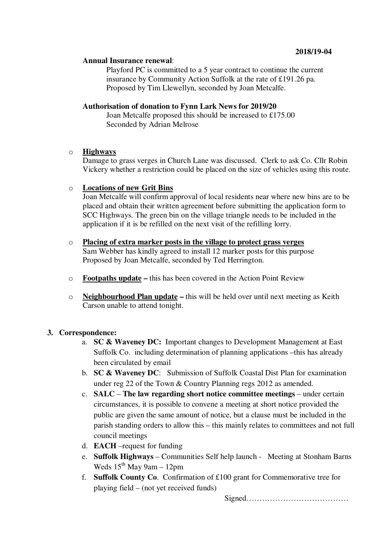## **2018/19-04**

#### **Annual Insurance renewal**:

Playford PC is committed to a 5 year contract to continue the current insurance by Community Action Suffolk at the rate of £191.26 pa. Proposed by Tim Llewellyn, seconded by Joan Metcalfe.

## **Authorisation of donation to Fynn Lark News for 2019/20**

Joan Metcalfe proposed this should be increased to £175.00 Seconded by Adrian Melrose

## o **Highways**

Damage to grass verges in Church Lane was discussed. Clerk to ask Co. Cllr Robin Vickery whether a restriction could be placed on the size of vehicles using this route.

## o **Locations of new Grit Bins**

Joan Metcalfe will confirm approval of local residents near where new bins are to be placed and obtain their written agreement before submitting the application form to SCC Highways. The green bin on the village triangle needs to be included in the application if it is be refilled on the next visit of the refilling lorry.

# o **Placing of extra marker posts in the village to protect grass verges**

Sam Webber has kindly agreed to install 12 marker posts for this purpose Proposed by Joan Metcalfe, seconded by Ted Herrington.

- o **Footpaths update** this has been covered in the Action Point Review
- o **Neighbourhood Plan update** this will be held over until next meeting as Keith Carson unable to attend tonight.

# **3. Correspondence:**

- a. **SC & Waveney DC:** Important changes to Development Management at East Suffolk Co.including determination of planning applications –this has already been circulated by email
- b. **SC & Waveney DC**: Submission of Suffolk Coastal Dist Plan for examination under reg 22 of the Town & Country Planning regs 2012 as amended.
- c. **SALC The law regarding short notice committee meetings** under certain circumstances, it is possible to convene a meeting at short notice provided the public are given the same amount of notice, but a clause must be included in the parish standing orders to allow this – this mainly relates to committees and not full council meetings
- d. **EACH** –request for funding
- e. **Suffolk Highways** Communities Self help launch Meeting at Stonham Barns Weds  $15<sup>th</sup>$  May 9am – 12pm
- f. **Suffolk County Co**. Confirmation of £100 grant for Commemorative tree for playing field – (not yet received funds)

Signed…………………………………